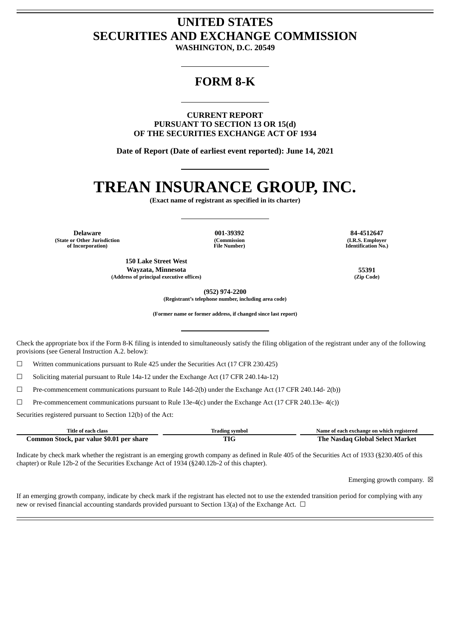## **UNITED STATES SECURITIES AND EXCHANGE COMMISSION**

**WASHINGTON, D.C. 20549**

### **FORM 8-K**

**CURRENT REPORT PURSUANT TO SECTION 13 OR 15(d) OF THE SECURITIES EXCHANGE ACT OF 1934**

**Date of Report (Date of earliest event reported): June 14, 2021**

# **TREAN INSURANCE GROUP, INC.**

**(Exact name of registrant as specified in its charter)**

**Delaware 001-39392 84-4512647 (State or Other Jurisdiction of Incorporation)**

**(Commission File Number)**

**150 Lake Street West Wayzata, Minnesota 55391 (Address of principal executive offices) (Zip Code)**

**(I.R.S. Employer Identification No.)**

**(952) 974-2200 (Registrant's telephone number, including area code)**

**(Former name or former address, if changed since last report)**

Check the appropriate box if the Form 8-K filing is intended to simultaneously satisfy the filing obligation of the registrant under any of the following provisions (see General Instruction A.2. below):

☐ Written communications pursuant to Rule 425 under the Securities Act (17 CFR 230.425)

☐ Soliciting material pursuant to Rule 14a-12 under the Exchange Act (17 CFR 240.14a-12)

☐ Pre-commencement communications pursuant to Rule 14d-2(b) under the Exchange Act (17 CFR 240.14d- 2(b))

☐ Pre-commencement communications pursuant to Rule 13e-4(c) under the Exchange Act (17 CFR 240.13e- 4(c))

Securities registered pursuant to Section 12(b) of the Act:

| Title of each class                      | 'rading symbol | Name of each exchange on which registered |
|------------------------------------------|----------------|-------------------------------------------|
| Common Stock, par value \$0.01 per share |                | <b>The Nasdag Global Select Market</b>    |

Indicate by check mark whether the registrant is an emerging growth company as defined in Rule 405 of the Securities Act of 1933 (§230.405 of this chapter) or Rule 12b-2 of the Securities Exchange Act of 1934 (§240.12b-2 of this chapter).

Emerging growth company.  $\boxtimes$ 

If an emerging growth company, indicate by check mark if the registrant has elected not to use the extended transition period for complying with any new or revised financial accounting standards provided pursuant to Section 13(a) of the Exchange Act.  $\Box$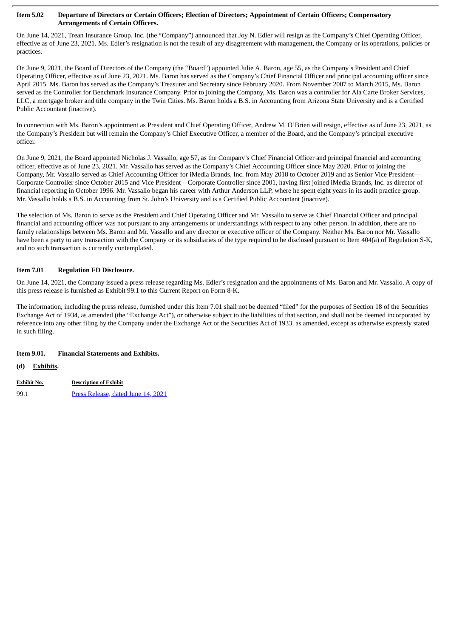#### Item 5.02 Departure of Directors or Certain Officers; Election of Directors; Appointment of Certain Officers; Compensatory **Arrangements of Certain Officers.**

On June 14, 2021, Trean Insurance Group, Inc. (the "Company") announced that Joy N. Edler will resign as the Company's Chief Operating Officer, effective as of June 23, 2021. Ms. Edler's resignation is not the result of any disagreement with management, the Company or its operations, policies or practices.

On June 9, 2021, the Board of Directors of the Company (the "Board") appointed Julie A. Baron, age 55, as the Company's President and Chief Operating Officer, effective as of June 23, 2021. Ms. Baron has served as the Company's Chief Financial Officer and principal accounting officer since April 2015. Ms. Baron has served as the Company's Treasurer and Secretary since February 2020. From November 2007 to March 2015, Ms. Baron served as the Controller for Benchmark Insurance Company. Prior to joining the Company, Ms. Baron was a controller for Ala Carte Broker Services, LLC, a mortgage broker and title company in the Twin Cities. Ms. Baron holds a B.S. in Accounting from Arizona State University and is a Certified Public Accountant (inactive).

In connection with Ms. Baron's appointment as President and Chief Operating Officer, Andrew M. O'Brien will resign, effective as of June 23, 2021, as the Company's President but will remain the Company's Chief Executive Officer, a member of the Board, and the Company's principal executive officer.

On June 9, 2021, the Board appointed Nicholas J. Vassallo, age 57, as the Company's Chief Financial Officer and principal financial and accounting officer, effective as of June 23, 2021. Mr. Vassallo has served as the Company's Chief Accounting Officer since May 2020. Prior to joining the Company, Mr. Vassallo served as Chief Accounting Officer for iMedia Brands, Inc. from May 2018 to October 2019 and as Senior Vice President— Corporate Controller since October 2015 and Vice President—Corporate Controller since 2001, having first joined iMedia Brands, Inc. as director of financial reporting in October 1996. Mr. Vassallo began his career with Arthur Anderson LLP, where he spent eight years in its audit practice group. Mr. Vassallo holds a B.S. in Accounting from St. John's University and is a Certified Public Accountant (inactive).

The selection of Ms. Baron to serve as the President and Chief Operating Officer and Mr. Vassallo to serve as Chief Financial Officer and principal financial and accounting officer was not pursuant to any arrangements or understandings with respect to any other person. In addition, there are no family relationships between Ms. Baron and Mr. Vassallo and any director or executive officer of the Company. Neither Ms. Baron nor Mr. Vassallo have been a party to any transaction with the Company or its subsidiaries of the type required to be disclosed pursuant to Item 404(a) of Regulation S-K, and no such transaction is currently contemplated.

#### **Item 7.01 Regulation FD Disclosure.**

On June 14, 2021, the Company issued a press release regarding Ms. Edler's resignation and the appointments of Ms. Baron and Mr. Vassallo. A copy of this press release is furnished as Exhibit 99.1 to this Current Report on Form 8-K.

The information, including the press release, furnished under this Item 7.01 shall not be deemed "filed" for the purposes of Section 18 of the Securities Exchange Act of 1934, as amended (the "Exchange Act"), or otherwise subject to the liabilities of that section, and shall not be deemed incorporated by reference into any other filing by the Company under the Exchange Act or the Securities Act of 1933, as amended, except as otherwise expressly stated in such filing.

#### **Item 9.01. Financial Statements and Exhibits.**

**(d) Exhibits.**

**Exhibit No. Description of Exhibit** 99.1 Press [Release,](#page-3-0) dated June 14, 2021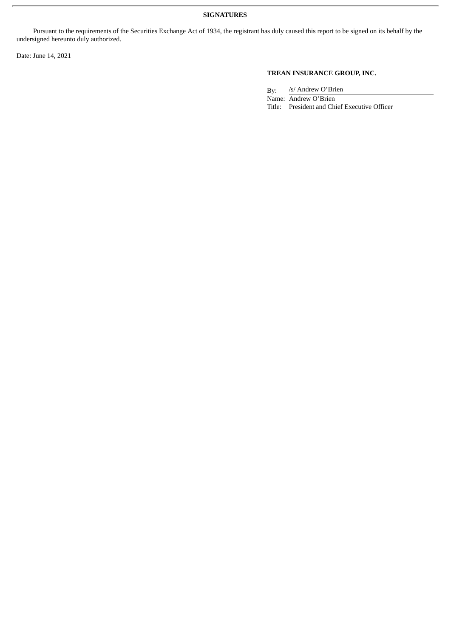#### **SIGNATURES**

Pursuant to the requirements of the Securities Exchange Act of 1934, the registrant has duly caused this report to be signed on its behalf by the undersigned hereunto duly authorized.

Date: June 14, 2021

#### **TREAN INSURANCE GROUP, INC.**

By: /s/ Andrew O'Brien Name: Andrew O'Brien

Title: President and Chief Executive Officer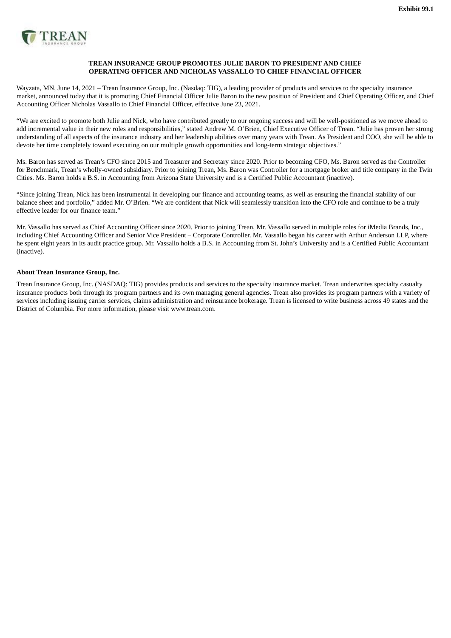<span id="page-3-0"></span>

#### **TREAN INSURANCE GROUP PROMOTES JULIE BARON TO PRESIDENT AND CHIEF OPERATING OFFICER AND NICHOLAS VASSALLO TO CHIEF FINANCIAL OFFICER**

Wayzata, MN, June 14, 2021 – Trean Insurance Group, Inc. (Nasdaq: TIG), a leading provider of products and services to the specialty insurance market, announced today that it is promoting Chief Financial Officer Julie Baron to the new position of President and Chief Operating Officer, and Chief Accounting Officer Nicholas Vassallo to Chief Financial Officer, effective June 23, 2021.

"We are excited to promote both Julie and Nick, who have contributed greatly to our ongoing success and will be well-positioned as we move ahead to add incremental value in their new roles and responsibilities," stated Andrew M. O'Brien, Chief Executive Officer of Trean. "Julie has proven her strong understanding of all aspects of the insurance industry and her leadership abilities over many years with Trean. As President and COO, she will be able to devote her time completely toward executing on our multiple growth opportunities and long-term strategic objectives."

Ms. Baron has served as Trean's CFO since 2015 and Treasurer and Secretary since 2020. Prior to becoming CFO, Ms. Baron served as the Controller for Benchmark, Trean's wholly-owned subsidiary. Prior to joining Trean, Ms. Baron was Controller for a mortgage broker and title company in the Twin Cities. Ms. Baron holds a B.S. in Accounting from Arizona State University and is a Certified Public Accountant (inactive).

"Since joining Trean, Nick has been instrumental in developing our finance and accounting teams, as well as ensuring the financial stability of our balance sheet and portfolio," added Mr. O'Brien. "We are confident that Nick will seamlessly transition into the CFO role and continue to be a truly effective leader for our finance team."

Mr. Vassallo has served as Chief Accounting Officer since 2020. Prior to joining Trean, Mr. Vassallo served in multiple roles for iMedia Brands, Inc., including Chief Accounting Officer and Senior Vice President – Corporate Controller. Mr. Vassallo began his career with Arthur Anderson LLP, where he spent eight years in its audit practice group. Mr. Vassallo holds a B.S. in Accounting from St. John's University and is a Certified Public Accountant (inactive).

#### **About Trean Insurance Group, Inc.**

Trean Insurance Group, Inc. (NASDAQ: TIG) provides products and services to the specialty insurance market. Trean underwrites specialty casualty insurance products both through its program partners and its own managing general agencies. Trean also provides its program partners with a variety of services including issuing carrier services, claims administration and reinsurance brokerage. Trean is licensed to write business across 49 states and the District of Columbia. For more information, please visit www.trean.com.